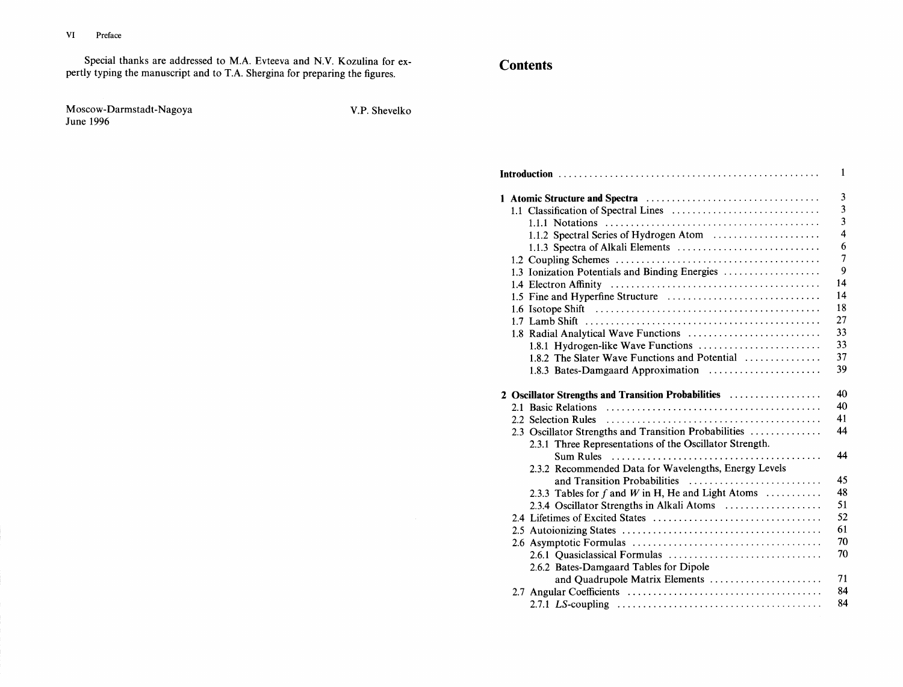Special thanks are addressed to M.A. Evteeva and N.V. Kozulina for expertly typing the manuscript and to T.A. Shergina for preparing the figures.

Moscow-Darmstadt-Nagoya June 1996

V.P. Shevelko

## **Contents**

| $\mathbf{1}$ |  |                                                                          |                         |  |
|--------------|--|--------------------------------------------------------------------------|-------------------------|--|
|              |  |                                                                          | $\overline{3}$          |  |
|              |  |                                                                          | $\overline{\mathbf{3}}$ |  |
|              |  |                                                                          | $\overline{\mathbf{3}}$ |  |
|              |  |                                                                          | $\overline{4}$          |  |
|              |  |                                                                          | 6                       |  |
|              |  |                                                                          | $\overline{7}$          |  |
|              |  | 1.3 Ionization Potentials and Binding Energies                           | $\overline{9}$          |  |
|              |  |                                                                          | 14                      |  |
|              |  | 1.5 Fine and Hyperfine Structure                                         | 14                      |  |
|              |  |                                                                          | 18                      |  |
|              |  |                                                                          | 27                      |  |
|              |  | 1.8 Radial Analytical Wave Functions                                     | 33                      |  |
|              |  |                                                                          | 33                      |  |
|              |  | 1.8.2 The Slater Wave Functions and Potential                            | 37                      |  |
|              |  | 1.8.3 Bates-Damgaard Approximation                                       | 39                      |  |
|              |  | 2 Oscillator Strengths and Transition Probabilities                      | 40                      |  |
|              |  |                                                                          |                         |  |
|              |  |                                                                          | 40                      |  |
|              |  |                                                                          | 41                      |  |
|              |  | 2.3 Oscillator Strengths and Transition Probabilities                    | 44                      |  |
|              |  | 2.3.1 Three Representations of the Oscillator Strength.                  |                         |  |
|              |  |                                                                          | 44                      |  |
|              |  | 2.3.2 Recommended Data for Wavelengths, Energy Levels                    |                         |  |
|              |  | and Transition Probabilities                                             | 45                      |  |
|              |  | 2.3.3 Tables for f and W in H, He and Light Atoms $\dots\dots\dots\dots$ | 48                      |  |
|              |  | 2.3.4 Oscillator Strengths in Alkali Atoms                               | 51                      |  |
|              |  |                                                                          | 52                      |  |
|              |  |                                                                          | 61                      |  |
|              |  |                                                                          | 70                      |  |
|              |  |                                                                          | 70                      |  |
|              |  | 2.6.2 Bates-Damgaard Tables for Dipole                                   |                         |  |
|              |  | and Quadrupole Matrix Elements                                           | 71                      |  |
|              |  |                                                                          | 84<br>84                |  |